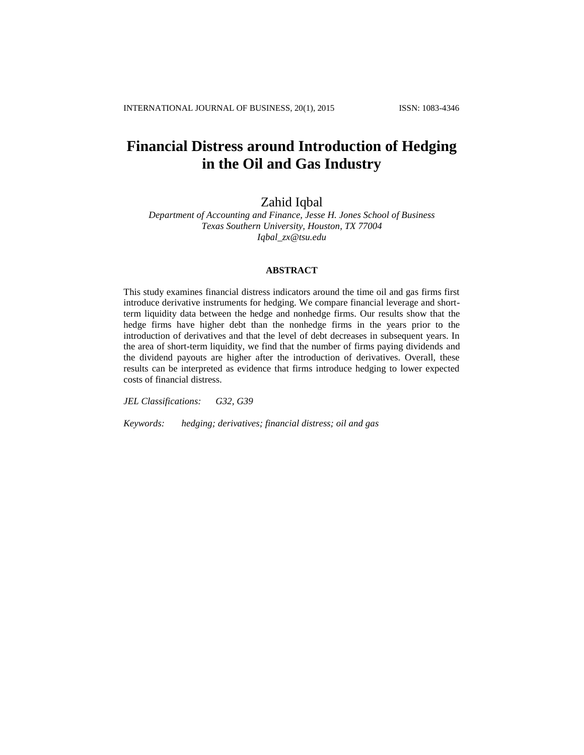# **Financial Distress around Introduction of Hedging in the Oil and Gas Industry**

Zahid Iqbal

*Department of Accounting and Finance, Jesse H. Jones School of Business Texas Southern University, Houston, TX 77004 [Iqbal\\_zx@tsu.edu](mailto:Iqbal_zx@tsu.edu)*

## **ABSTRACT**

This study examines financial distress indicators around the time oil and gas firms first introduce derivative instruments for hedging. We compare financial leverage and shortterm liquidity data between the hedge and nonhedge firms. Our results show that the hedge firms have higher debt than the nonhedge firms in the years prior to the introduction of derivatives and that the level of debt decreases in subsequent years. In the area of short-term liquidity, we find that the number of firms paying dividends and the dividend payouts are higher after the introduction of derivatives. Overall, these results can be interpreted as evidence that firms introduce hedging to lower expected costs of financial distress.

*JEL Classifications: G32, G39*

*Keywords: hedging; derivatives; financial distress; oil and gas*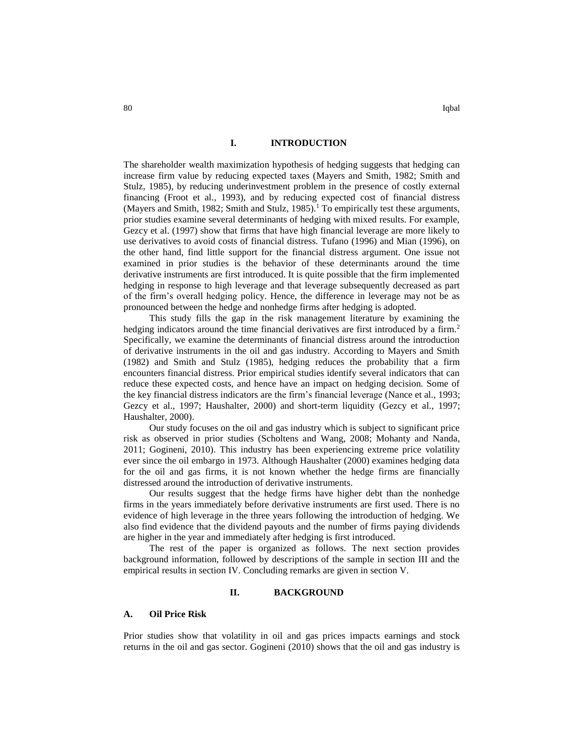## **I. INTRODUCTION**

The shareholder wealth maximization hypothesis of hedging suggests that hedging can increase firm value by reducing expected taxes (Mayers and Smith, 1982; Smith and Stulz, 1985), by reducing underinvestment problem in the presence of costly external financing (Froot et al., 1993), and by reducing expected cost of financial distress (Mayers and Smith, 1982; Smith and Stulz, 1985).<sup>1</sup> To empirically test these arguments, prior studies examine several determinants of hedging with mixed results. For example, Gezcy et al. (1997) show that firms that have high financial leverage are more likely to use derivatives to avoid costs of financial distress. Tufano (1996) and Mian (1996), on the other hand, find little support for the financial distress argument. One issue not examined in prior studies is the behavior of these determinants around the time derivative instruments are first introduced. It is quite possible that the firm implemented hedging in response to high leverage and that leverage subsequently decreased as part of the firm's overall hedging policy. Hence, the difference in leverage may not be as pronounced between the hedge and nonhedge firms after hedging is adopted.

This study fills the gap in the risk management literature by examining the hedging indicators around the time financial derivatives are first introduced by a firm.<sup>2</sup> Specifically, we examine the determinants of financial distress around the introduction of derivative instruments in the oil and gas industry. According to Mayers and Smith (1982) and Smith and Stulz (1985), hedging reduces the probability that a firm encounters financial distress. Prior empirical studies identify several indicators that can reduce these expected costs, and hence have an impact on hedging decision. Some of the key financial distress indicators are the firm's financial leverage (Nance et al., 1993; Gezcy et al., 1997; Haushalter, 2000) and short-term liquidity (Gezcy et al., 1997; Haushalter, 2000).

Our study focuses on the oil and gas industry which is subject to significant price risk as observed in prior studies (Scholtens and Wang, 2008; Mohanty and Nanda, 2011; Gogineni, 2010). This industry has been experiencing extreme price volatility ever since the oil embargo in 1973. Although Haushalter (2000) examines hedging data for the oil and gas firms, it is not known whether the hedge firms are financially distressed around the introduction of derivative instruments.

Our results suggest that the hedge firms have higher debt than the nonhedge firms in the years immediately before derivative instruments are first used. There is no evidence of high leverage in the three years following the introduction of hedging. We also find evidence that the dividend payouts and the number of firms paying dividends are higher in the year and immediately after hedging is first introduced.

The rest of the paper is organized as follows. The next section provides background information, followed by descriptions of the sample in section III and the empirical results in section IV. Concluding remarks are given in section V.

## **II. BACKGROUND**

## **A. Oil Price Risk**

Prior studies show that volatility in oil and gas prices impacts earnings and stock returns in the oil and gas sector. Gogineni (2010) shows that the oil and gas industry is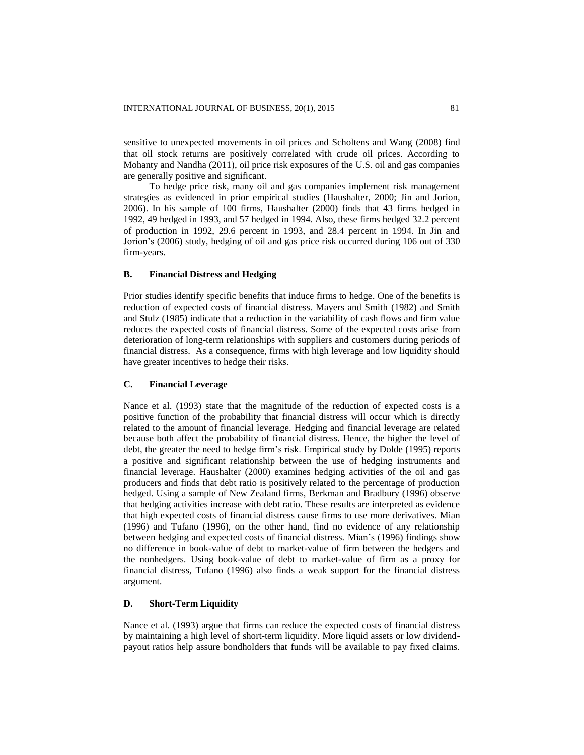sensitive to unexpected movements in oil prices and Scholtens and Wang (2008) find that oil stock returns are positively correlated with crude oil prices. According to Mohanty and Nandha (2011), oil price risk exposures of the U.S. oil and gas companies are generally positive and significant.

To hedge price risk, many oil and gas companies implement risk management strategies as evidenced in prior empirical studies (Haushalter, 2000; Jin and Jorion, 2006). In his sample of 100 firms, Haushalter (2000) finds that 43 firms hedged in 1992, 49 hedged in 1993, and 57 hedged in 1994. Also, these firms hedged 32.2 percent of production in 1992, 29.6 percent in 1993, and 28.4 percent in 1994. In Jin and Jorion's (2006) study, hedging of oil and gas price risk occurred during 106 out of 330 firm-years.

### **B. Financial Distress and Hedging**

Prior studies identify specific benefits that induce firms to hedge. One of the benefits is reduction of expected costs of financial distress. Mayers and Smith (1982) and Smith and Stulz (1985) indicate that a reduction in the variability of cash flows and firm value reduces the expected costs of financial distress. Some of the expected costs arise from deterioration of long-term relationships with suppliers and customers during periods of financial distress. As a consequence, firms with high leverage and low liquidity should have greater incentives to hedge their risks.

## **C. Financial Leverage**

Nance et al. (1993) state that the magnitude of the reduction of expected costs is a positive function of the probability that financial distress will occur which is directly related to the amount of financial leverage. Hedging and financial leverage are related because both affect the probability of financial distress. Hence, the higher the level of debt, the greater the need to hedge firm's risk. Empirical study by Dolde (1995) reports a positive and significant relationship between the use of hedging instruments and financial leverage. Haushalter (2000) examines hedging activities of the oil and gas producers and finds that debt ratio is positively related to the percentage of production hedged. Using a sample of New Zealand firms, Berkman and Bradbury (1996) observe that hedging activities increase with debt ratio. These results are interpreted as evidence that high expected costs of financial distress cause firms to use more derivatives. Mian (1996) and Tufano (1996), on the other hand, find no evidence of any relationship between hedging and expected costs of financial distress. Mian's (1996) findings show no difference in book-value of debt to market-value of firm between the hedgers and the nonhedgers. Using book-value of debt to market-value of firm as a proxy for financial distress, Tufano (1996) also finds a weak support for the financial distress argument.

# **D. Short-Term Liquidity**

Nance et al. (1993) argue that firms can reduce the expected costs of financial distress by maintaining a high level of short-term liquidity. More liquid assets or low dividendpayout ratios help assure bondholders that funds will be available to pay fixed claims.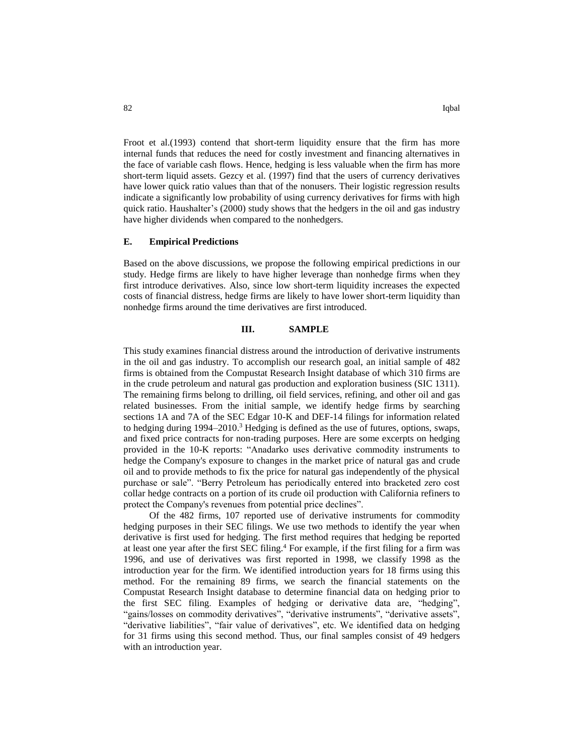Froot et al.(1993) contend that short-term liquidity ensure that the firm has more internal funds that reduces the need for costly investment and financing alternatives in the face of variable cash flows. Hence, hedging is less valuable when the firm has more short-term liquid assets. Gezcy et al. (1997) find that the users of currency derivatives have lower quick ratio values than that of the nonusers. Their logistic regression results indicate a significantly low probability of using currency derivatives for firms with high quick ratio. Haushalter's (2000) study shows that the hedgers in the oil and gas industry have higher dividends when compared to the nonhedgers.

## **E. Empirical Predictions**

Based on the above discussions, we propose the following empirical predictions in our study. Hedge firms are likely to have higher leverage than nonhedge firms when they first introduce derivatives. Also, since low short-term liquidity increases the expected costs of financial distress, hedge firms are likely to have lower short-term liquidity than nonhedge firms around the time derivatives are first introduced.

## **III. SAMPLE**

This study examines financial distress around the introduction of derivative instruments in the oil and gas industry. To accomplish our research goal, an initial sample of 482 firms is obtained from the Compustat Research Insight database of which 310 firms are in the crude petroleum and natural gas production and exploration business (SIC 1311). The remaining firms belong to drilling, oil field services, refining, and other oil and gas related businesses. From the initial sample, we identify hedge firms by searching sections 1A and 7A of the SEC Edgar 10-K and DEF-14 filings for information related to hedging during  $1994-2010$ .<sup>3</sup> Hedging is defined as the use of futures, options, swaps, and fixed price contracts for non-trading purposes. Here are some excerpts on hedging provided in the 10-K reports: "Anadarko uses derivative commodity instruments to hedge the Company's exposure to changes in the market price of natural gas and crude oil and to provide methods to fix the price for natural gas independently of the physical purchase or sale". "Berry Petroleum has periodically entered into bracketed zero cost collar hedge contracts on a portion of its crude oil production with California refiners to protect the Company's revenues from potential price declines".

Of the 482 firms, 107 reported use of derivative instruments for commodity hedging purposes in their SEC filings. We use two methods to identify the year when derivative is first used for hedging. The first method requires that hedging be reported at least one year after the first SEC filing. <sup>4</sup> For example, if the first filing for a firm was 1996, and use of derivatives was first reported in 1998, we classify 1998 as the introduction year for the firm. We identified introduction years for 18 firms using this method. For the remaining 89 firms, we search the financial statements on the Compustat Research Insight database to determine financial data on hedging prior to the first SEC filing. Examples of hedging or derivative data are, "hedging", "gains/losses on commodity derivatives", "derivative instruments", "derivative assets", "derivative liabilities", "fair value of derivatives", etc. We identified data on hedging for 31 firms using this second method. Thus, our final samples consist of 49 hedgers with an introduction year.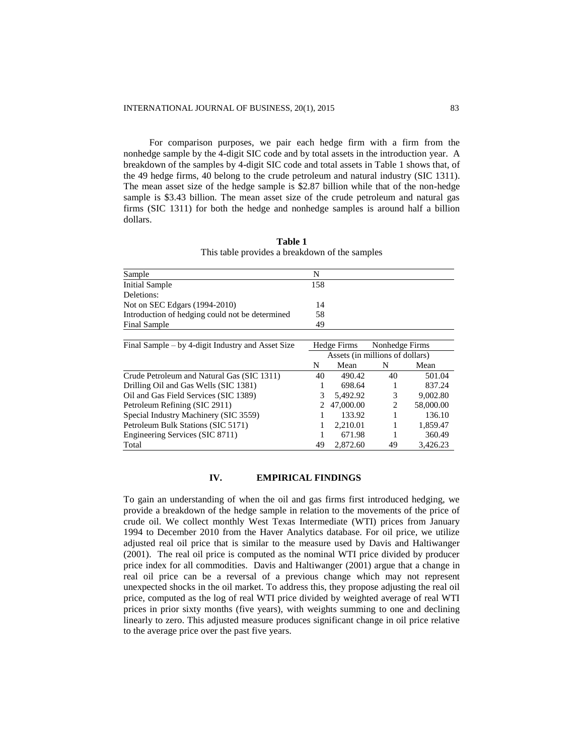For comparison purposes, we pair each hedge firm with a firm from the nonhedge sample by the 4-digit SIC code and by total assets in the introduction year. A breakdown of the samples by 4-digit SIC code and total assets in Table 1 shows that, of the 49 hedge firms, 40 belong to the crude petroleum and natural industry (SIC 1311). The mean asset size of the hedge sample is \$2.87 billion while that of the non-hedge sample is \$3.43 billion. The mean asset size of the crude petroleum and natural gas firms (SIC 1311) for both the hedge and nonhedge samples is around half a billion dollars.

| Sample                                            | N                               |           |                |           |
|---------------------------------------------------|---------------------------------|-----------|----------------|-----------|
| <b>Initial Sample</b>                             | 158                             |           |                |           |
| Deletions:                                        |                                 |           |                |           |
| Not on SEC Edgars (1994-2010)                     | 14                              |           |                |           |
| Introduction of hedging could not be determined   | 58                              |           |                |           |
| <b>Final Sample</b>                               | 49                              |           |                |           |
|                                                   |                                 |           |                |           |
| Final Sample – by 4-digit Industry and Asset Size | Hedge Firms                     |           | Nonhedge Firms |           |
|                                                   | Assets (in millions of dollars) |           |                |           |
|                                                   | N                               | Mean      | N              | Mean      |
| Crude Petroleum and Natural Gas (SIC 1311)        | 40                              | 490.42    | 40             | 501.04    |
| Drilling Oil and Gas Wells (SIC 1381)             | 1                               | 698.64    |                | 837.24    |
| Oil and Gas Field Services (SIC 1389)             | 3                               | 5.492.92  | 3              | 9,002.80  |
| Petroleum Refining (SIC 2911)                     | 2                               | 47,000.00 | $\overline{c}$ | 58,000.00 |
| Special Industry Machinery (SIC 3559)             |                                 | 133.92    |                | 136.10    |
| Petroleum Bulk Stations (SIC 5171)                |                                 | 2,210.01  | 1              | 1,859.47  |
| Engineering Services (SIC 8711)                   |                                 | 671.98    |                | 360.49    |
| Total                                             | 49                              | 2,872.60  | 49             | 3,426.23  |

**Table 1** This table provides a breakdown of the samples

## **IV. EMPIRICAL FINDINGS**

To gain an understanding of when the oil and gas firms first introduced hedging, we provide a breakdown of the hedge sample in relation to the movements of the price of crude oil. We collect monthly West Texas Intermediate (WTI) prices from January 1994 to December 2010 from the Haver Analytics database. For oil price, we utilize adjusted real oil price that is similar to the measure used by Davis and Haltiwanger (2001). The real oil price is computed as the nominal WTI price divided by producer price index for all commodities. Davis and Haltiwanger (2001) argue that a change in real oil price can be a reversal of a previous change which may not represent unexpected shocks in the oil market. To address this, they propose adjusting the real oil price, computed as the log of real WTI price divided by weighted average of real WTI prices in prior sixty months (five years), with weights summing to one and declining linearly to zero. This adjusted measure produces significant change in oil price relative to the average price over the past five years.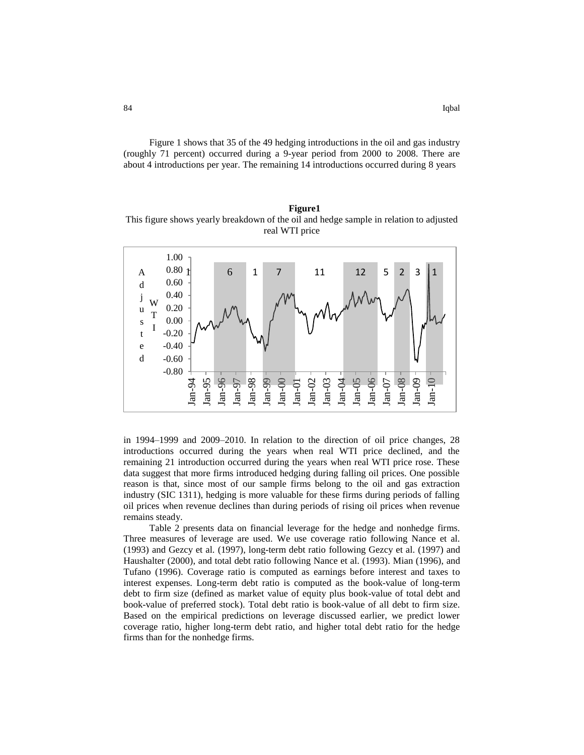Figure 1 shows that 35 of the 49 hedging introductions in the oil and gas industry (roughly 71 percent) occurred during a 9-year period from 2000 to 2008. There are about 4 introductions per year. The remaining 14 introductions occurred during 8 years

**Figure1** This figure shows yearly breakdown of the oil and hedge sample in relation to adjusted real WTI price



in 1994–1999 and 2009–2010. In relation to the direction of oil price changes, 28 introductions occurred during the years when real WTI price declined, and the remaining 21 introduction occurred during the years when real WTI price rose. These data suggest that more firms introduced hedging during falling oil prices. One possible reason is that, since most of our sample firms belong to the oil and gas extraction industry (SIC 1311), hedging is more valuable for these firms during periods of falling oil prices when revenue declines than during periods of rising oil prices when revenue remains steady.

Table 2 presents data on financial leverage for the hedge and nonhedge firms. Three measures of leverage are used. We use coverage ratio following Nance et al. (1993) and Gezcy et al. (1997), long-term debt ratio following Gezcy et al. (1997) and Haushalter (2000), and total debt ratio following Nance et al. (1993). Mian (1996), and Tufano (1996). Coverage ratio is computed as earnings before interest and taxes to interest expenses. Long-term debt ratio is computed as the book-value of long-term debt to firm size (defined as market value of equity plus book-value of total debt and book-value of preferred stock). Total debt ratio is book-value of all debt to firm size. Based on the empirical predictions on leverage discussed earlier, we predict lower coverage ratio, higher long-term debt ratio, and higher total debt ratio for the hedge firms than for the nonhedge firms.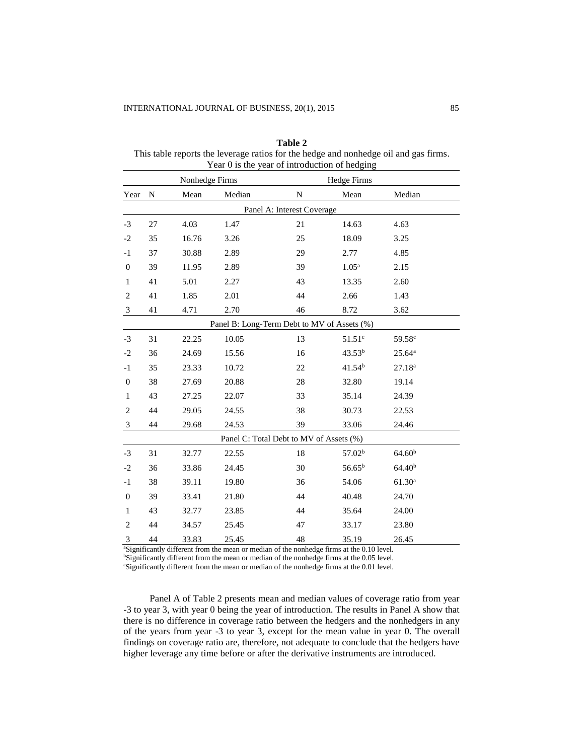| Nonhedge Firms                              |                            |       | <b>Hedge Firms</b> |    |                    |                    |  |
|---------------------------------------------|----------------------------|-------|--------------------|----|--------------------|--------------------|--|
| Year                                        | N                          | Mean  | Median             | N  | Mean               | Median             |  |
|                                             | Panel A: Interest Coverage |       |                    |    |                    |                    |  |
| $-3$                                        | 27                         | 4.03  | 1.47               | 21 | 14.63              | 4.63               |  |
| $-2$                                        | 35                         | 16.76 | 3.26               | 25 | 18.09              | 3.25               |  |
| -1                                          | 37                         | 30.88 | 2.89               | 29 | 2.77               | 4.85               |  |
| $\boldsymbol{0}$                            | 39                         | 11.95 | 2.89               | 39 | 1.05 <sup>a</sup>  | 2.15               |  |
| $\mathbf{1}$                                | 41                         | 5.01  | 2.27               | 43 | 13.35              | 2.60               |  |
| $\overline{2}$                              | 41                         | 1.85  | 2.01               | 44 | 2.66               | 1.43               |  |
| 3                                           | 41                         | 4.71  | 2.70               | 46 | 8.72               | 3.62               |  |
| Panel B: Long-Term Debt to MV of Assets (%) |                            |       |                    |    |                    |                    |  |
| $-3$                                        | 31                         | 22.25 | 10.05              | 13 | 51.51 <sup>c</sup> | 59.58 <sup>c</sup> |  |
| $-2$                                        | 36                         | 24.69 | 15.56              | 16 | 43.53 <sup>b</sup> | $25.64^{\rm a}$    |  |
| $-1$                                        | 35                         | 23.33 | 10.72              | 22 | 41.54 <sup>b</sup> | 27.18 <sup>a</sup> |  |
| $\boldsymbol{0}$                            | 38                         | 27.69 | 20.88              | 28 | 32.80              | 19.14              |  |
| $\mathbf{1}$                                | 43                         | 27.25 | 22.07              | 33 | 35.14              | 24.39              |  |
| $\overline{2}$                              | 44                         | 29.05 | 24.55              | 38 | 30.73              | 22.53              |  |
| 3                                           | 44                         | 29.68 | 24.53              | 39 | 33.06              | 24.46              |  |
| Panel C: Total Debt to MV of Assets (%)     |                            |       |                    |    |                    |                    |  |
| $-3$                                        | 31                         | 32.77 | 22.55              | 18 | 57.02 <sup>b</sup> | 64.60 <sup>b</sup> |  |
| $-2$                                        | 36                         | 33.86 | 24.45              | 30 | $56.65^{b}$        | 64.40 <sup>b</sup> |  |
| $-1$                                        | 38                         | 39.11 | 19.80              | 36 | 54.06              | 61.30 <sup>a</sup> |  |
| $\boldsymbol{0}$                            | 39                         | 33.41 | 21.80              | 44 | 40.48              | 24.70              |  |
| $\mathbf{1}$                                | 43                         | 32.77 | 23.85              | 44 | 35.64              | 24.00              |  |
| $\overline{2}$                              | 44                         | 34.57 | 25.45              | 47 | 33.17              | 23.80              |  |
| 3                                           | 44                         | 33.83 | 25.45              | 48 | 35.19              | 26.45              |  |

**Table 2** This table reports the leverage ratios for the hedge and nonhedge oil and gas firms. Year 0 is the year of introduction of hedging

<sup>a</sup>Significantly different from the mean or median of the nonhedge firms at the 0.10 level. bSignificantly different from the mean or median of the nonhedge firms at the 0.05 level.

<sup>c</sup>Significantly different from the mean or median of the nonhedge firms at the 0.01 level.

Panel A of Table 2 presents mean and median values of coverage ratio from year -3 to year 3, with year 0 being the year of introduction. The results in Panel A show that there is no difference in coverage ratio between the hedgers and the nonhedgers in any of the years from year -3 to year 3, except for the mean value in year 0. The overall findings on coverage ratio are, therefore, not adequate to conclude that the hedgers have higher leverage any time before or after the derivative instruments are introduced.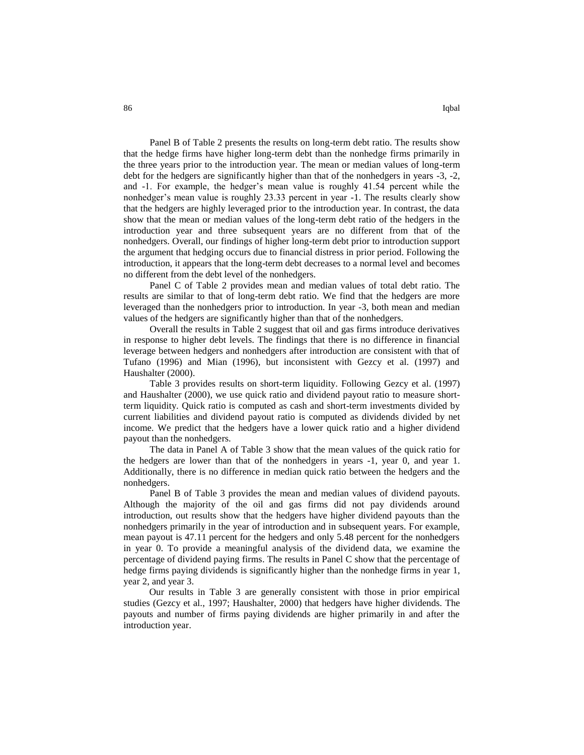Panel B of Table 2 presents the results on long-term debt ratio. The results show that the hedge firms have higher long-term debt than the nonhedge firms primarily in the three years prior to the introduction year. The mean or median values of long-term debt for the hedgers are significantly higher than that of the nonhedgers in years -3, -2, and -1. For example, the hedger's mean value is roughly 41.54 percent while the nonhedger's mean value is roughly 23.33 percent in year -1. The results clearly show that the hedgers are highly leveraged prior to the introduction year. In contrast, the data show that the mean or median values of the long-term debt ratio of the hedgers in the introduction year and three subsequent years are no different from that of the nonhedgers. Overall, our findings of higher long-term debt prior to introduction support the argument that hedging occurs due to financial distress in prior period. Following the introduction, it appears that the long-term debt decreases to a normal level and becomes no different from the debt level of the nonhedgers.

Panel C of Table 2 provides mean and median values of total debt ratio. The results are similar to that of long-term debt ratio. We find that the hedgers are more leveraged than the nonhedgers prior to introduction. In year -3, both mean and median values of the hedgers are significantly higher than that of the nonhedgers.

Overall the results in Table 2 suggest that oil and gas firms introduce derivatives in response to higher debt levels. The findings that there is no difference in financial leverage between hedgers and nonhedgers after introduction are consistent with that of Tufano (1996) and Mian (1996), but inconsistent with Gezcy et al. (1997) and Haushalter (2000).

Table 3 provides results on short-term liquidity. Following Gezcy et al. (1997) and Haushalter (2000), we use quick ratio and dividend payout ratio to measure shortterm liquidity. Quick ratio is computed as cash and short-term investments divided by current liabilities and dividend payout ratio is computed as dividends divided by net income. We predict that the hedgers have a lower quick ratio and a higher dividend payout than the nonhedgers.

The data in Panel A of Table 3 show that the mean values of the quick ratio for the hedgers are lower than that of the nonhedgers in years -1, year 0, and year 1. Additionally, there is no difference in median quick ratio between the hedgers and the nonhedgers.

Panel B of Table 3 provides the mean and median values of dividend payouts. Although the majority of the oil and gas firms did not pay dividends around introduction, out results show that the hedgers have higher dividend payouts than the nonhedgers primarily in the year of introduction and in subsequent years. For example, mean payout is 47.11 percent for the hedgers and only 5.48 percent for the nonhedgers in year 0. To provide a meaningful analysis of the dividend data, we examine the percentage of dividend paying firms. The results in Panel C show that the percentage of hedge firms paying dividends is significantly higher than the nonhedge firms in year 1, year 2, and year 3.

Our results in Table 3 are generally consistent with those in prior empirical studies (Gezcy et al., 1997; Haushalter, 2000) that hedgers have higher dividends. The payouts and number of firms paying dividends are higher primarily in and after the introduction year.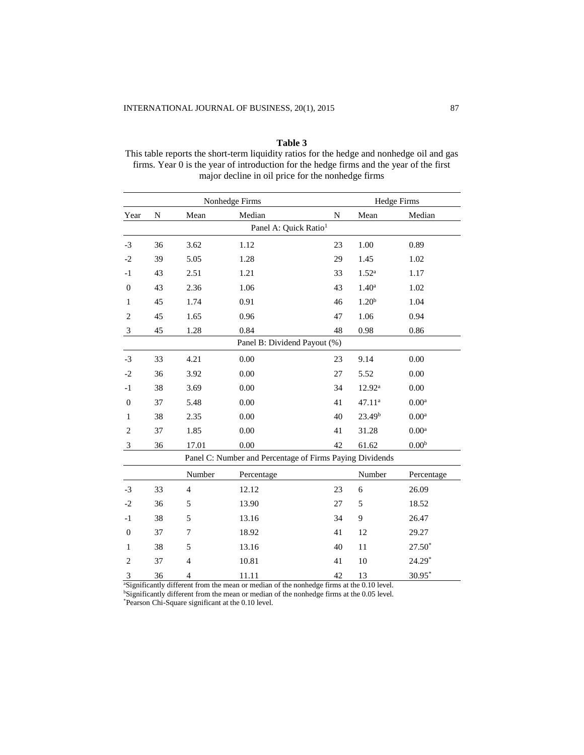**Table 3** This table reports the short-term liquidity ratios for the hedge and nonhedge oil and gas firms. Year 0 is the year of introduction for the hedge firms and the year of the first major decline in oil price for the nonhedge firms

|                                   | Nonhedge Firms                                           |                |            |    | <b>Hedge Firms</b> |                   |  |
|-----------------------------------|----------------------------------------------------------|----------------|------------|----|--------------------|-------------------|--|
| Year                              | N                                                        | Mean           | Median     | N  | Mean               | Median            |  |
| Panel A: Quick Ratio <sup>1</sup> |                                                          |                |            |    |                    |                   |  |
| $-3$                              | 36                                                       | 3.62           | 1.12       | 23 | 1.00               | 0.89              |  |
| $-2$                              | 39                                                       | 5.05           | 1.28       | 29 | 1.45               | 1.02              |  |
| $-1$                              | 43                                                       | 2.51           | 1.21       | 33 | $1.52^{a}$         | 1.17              |  |
| $\boldsymbol{0}$                  | 43                                                       | 2.36           | 1.06       | 43 | 1.40 <sup>a</sup>  | 1.02              |  |
| 1                                 | 45                                                       | 1.74           | 0.91       | 46 | 1.20 <sup>b</sup>  | 1.04              |  |
| $\overline{2}$                    | 45                                                       | 1.65           | 0.96       | 47 | 1.06               | 0.94              |  |
| $\mathbf{3}$                      | 45                                                       | 1.28           | 0.84       | 48 | 0.98               | 0.86              |  |
| Panel B: Dividend Payout (%)      |                                                          |                |            |    |                    |                   |  |
| $-3$                              | 33                                                       | 4.21           | 0.00       | 23 | 9.14               | 0.00              |  |
| $-2$                              | 36                                                       | 3.92           | 0.00       | 27 | 5.52               | 0.00              |  |
| $-1$                              | 38                                                       | 3.69           | $0.00\,$   | 34 | $12.92^{\text{a}}$ | 0.00              |  |
| $\boldsymbol{0}$                  | 37                                                       | 5.48           | 0.00       | 41 | 47.11ª             | $0.00^{\rm a}$    |  |
| 1                                 | 38                                                       | 2.35           | 0.00       | 40 | 23.49 <sup>b</sup> | 0.00 <sup>a</sup> |  |
| $\overline{2}$                    | 37                                                       | 1.85           | 0.00       | 41 | 31.28              | 0.00 <sup>a</sup> |  |
| 3                                 | 36                                                       | 17.01          | 0.00       | 42 | 61.62              | 0.00 <sup>b</sup> |  |
|                                   | Panel C: Number and Percentage of Firms Paying Dividends |                |            |    |                    |                   |  |
|                                   |                                                          | Number         | Percentage |    | Number             | Percentage        |  |
| $-3$                              | 33                                                       | $\overline{4}$ | 12.12      | 23 | 6                  | 26.09             |  |
| $-2$                              | 36                                                       | 5              | 13.90      | 27 | 5                  | 18.52             |  |
| $-1$                              | 38                                                       | 5              | 13.16      | 34 | 9                  | 26.47             |  |
| $\theta$                          | 37                                                       | 7              | 18.92      | 41 | 12                 | 29.27             |  |
| $\mathbf{1}$                      | 38                                                       | 5              | 13.16      | 40 | 11                 | $27.50*$          |  |
| $\mathfrak{2}$                    | 37                                                       | $\overline{4}$ | 10.81      | 41 | 10                 | $24.29*$          |  |
| 3                                 | 36                                                       | 4              | 11.11      | 42 | 13                 | $30.95*$          |  |

<sup>a</sup>Significantly different from the mean or median of the nonhedge firms at the 0.10 level.

<sup>b</sup>Significantly different from the mean or median of the nonhedge firms at the 0.05 level.

\*Pearson Chi-Square significant at the 0.10 level.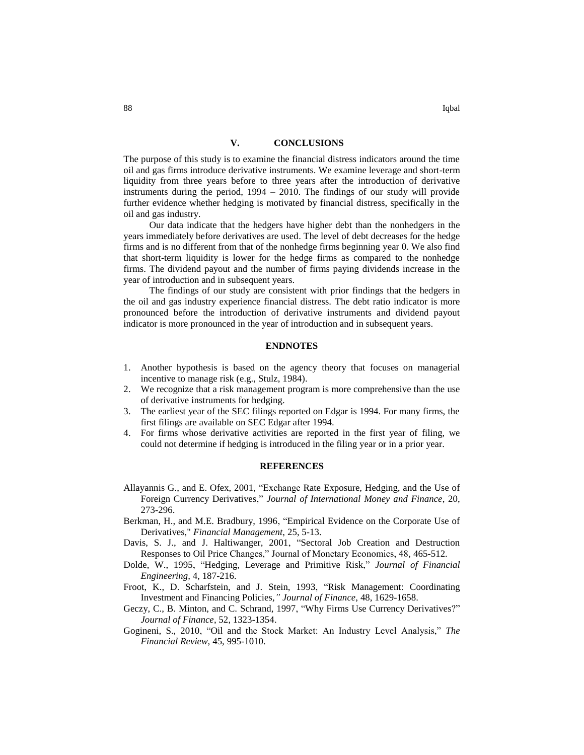## **V. CONCLUSIONS**

The purpose of this study is to examine the financial distress indicators around the time oil and gas firms introduce derivative instruments. We examine leverage and short-term liquidity from three years before to three years after the introduction of derivative instruments during the period, 1994 – 2010. The findings of our study will provide further evidence whether hedging is motivated by financial distress, specifically in the oil and gas industry.

Our data indicate that the hedgers have higher debt than the nonhedgers in the years immediately before derivatives are used. The level of debt decreases for the hedge firms and is no different from that of the nonhedge firms beginning year 0. We also find that short-term liquidity is lower for the hedge firms as compared to the nonhedge firms. The dividend payout and the number of firms paying dividends increase in the year of introduction and in subsequent years.

The findings of our study are consistent with prior findings that the hedgers in the oil and gas industry experience financial distress. The debt ratio indicator is more pronounced before the introduction of derivative instruments and dividend payout indicator is more pronounced in the year of introduction and in subsequent years.

# **ENDNOTES**

- 1. Another hypothesis is based on the agency theory that focuses on managerial incentive to manage risk (e.g., Stulz, 1984).
- 2. We recognize that a risk management program is more comprehensive than the use of derivative instruments for hedging.
- 3. The earliest year of the SEC filings reported on Edgar is 1994. For many firms, the first filings are available on SEC Edgar after 1994.
- 4. For firms whose derivative activities are reported in the first year of filing, we could not determine if hedging is introduced in the filing year or in a prior year.

## **REFERENCES**

- Allayannis G., and E. Ofex, 2001, "Exchange Rate Exposure, Hedging, and the Use of Foreign Currency Derivatives," *Journal of International Money and Finance*, 20, 273-296.
- Berkman, H., and M.E. Bradbury, 1996, "Empirical Evidence on the Corporate Use of Derivatives," *Financial Management*, 25, 5-13.
- Davis, S. J., and J. Haltiwanger, 2001, "Sectoral Job Creation and Destruction Responses to Oil Price Changes," Journal of Monetary Economics, 48, 465-512.
- Dolde, W., 1995, "Hedging, Leverage and Primitive Risk," *Journal of Financial Engineering,* 4, 187-216.
- Froot, K., D. Scharfstein, and J. Stein, 1993, "Risk Management: Coordinating Investment and Financing Policies*," Journal of Finance*, 48, 1629-1658.
- Geczy, C., B. Minton, and C. Schrand, 1997, "Why Firms Use Currency Derivatives?" *Journal of Finance*, 52, 1323-1354.
- Gogineni, S., 2010, "Oil and the Stock Market: An Industry Level Analysis," *The Financial Review,* 45, 995-1010.